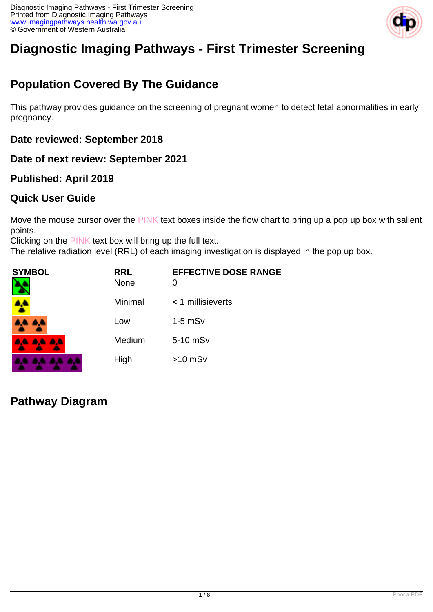

# **Diagnostic Imaging Pathways - First Trimester Screening**

## **Population Covered By The Guidance**

This pathway provides guidance on the screening of pregnant women to detect fetal abnormalities in early pregnancy.

#### **Date reviewed: September 2018**

**Date of next review: September 2021**

#### **Published: April 2019**

#### **Quick User Guide**

Move the mouse cursor over the PINK text boxes inside the flow chart to bring up a pop up box with salient points.

Clicking on the PINK text box will bring up the full text.

The relative radiation level (RRL) of each imaging investigation is displayed in the pop up box.

| SYMBOL   | <b>RRL</b><br><b>None</b> | <b>EFFECTIVE DOSE RANGE</b><br>O |
|----------|---------------------------|----------------------------------|
|          | Minimal                   | $<$ 1 millisieverts              |
| 4A 4A    | Low                       | $1-5$ mS $v$                     |
| 4A 4A 4A | Medium                    | 5-10 mSv                         |
|          | High                      | $>10$ mSv                        |

**Pathway Diagram**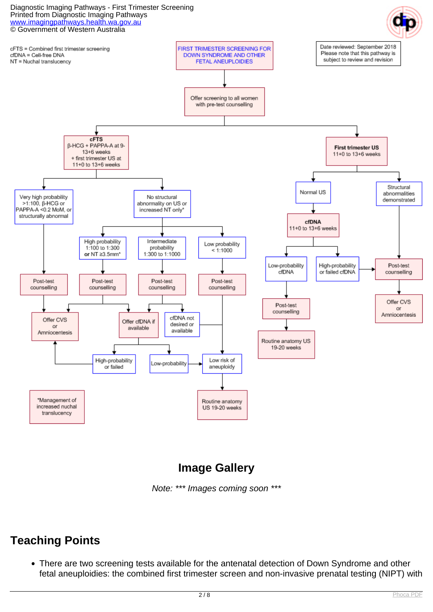#### Diagnostic Imaging Pathways - First Trimester Screening Printed from Diagnostic Imaging Pathways [www.imagingpathways.health.wa.gov.au](http://www.imagingpathways.health.wa.gov.au/) © Government of Western Australia





### **Image Gallery**

Note: \*\*\* Images coming soon \*\*\*

### **Teaching Points**

There are two screening tests available for the antenatal detection of Down Syndrome and other fetal aneuploidies: the combined first trimester screen and non-invasive prenatal testing (NIPT) with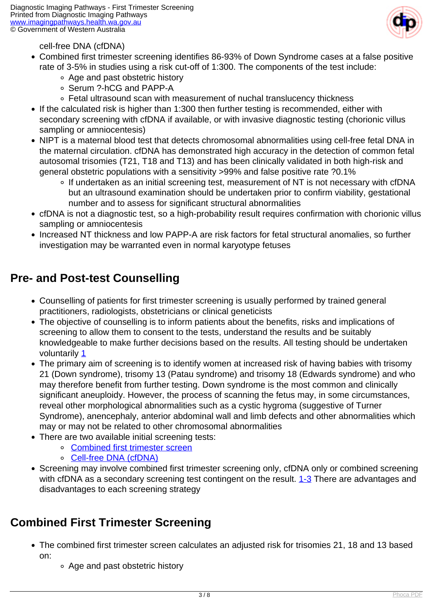

#### cell-free DNA (cfDNA)

- Combined first trimester screening identifies 86-93% of Down Syndrome cases at a false positive rate of 3-5% in studies using a risk cut-off of 1:300. The components of the test include:
	- Age and past obstetric history
	- o Serum ?-hCG and PAPP-A
	- Fetal ultrasound scan with measurement of nuchal translucency thickness
- If the calculated risk is higher than 1:300 then further testing is recommended, either with secondary screening with cfDNA if available, or with invasive diagnostic testing (chorionic villus sampling or amniocentesis)
- NIPT is a maternal blood test that detects chromosomal abnormalities using cell-free fetal DNA in the maternal circulation. cfDNA has demonstrated high accuracy in the detection of common fetal autosomal trisomies (T21, T18 and T13) and has been clinically validated in both high-risk and general obstetric populations with a sensitivity >99% and false positive rate ?0.1%
	- If undertaken as an initial screening test, measurement of NT is not necessary with cfDNA but an ultrasound examination should be undertaken prior to confirm viability, gestational number and to assess for significant structural abnormalities
- cfDNA is not a diagnostic test, so a high-probability result requires confirmation with chorionic villus sampling or amniocentesis
- Increased NT thickness and low PAPP-A are risk factors for fetal structural anomalies, so further investigation may be warranted even in normal karyotype fetuses

### **Pre- and Post-test Counselling**

- Counselling of patients for first trimester screening is usually performed by trained general practitioners, radiologists, obstetricians or clinical geneticists
- The objective of counselling is to inform patients about the benefits, risks and implications of screening to allow them to consent to the tests, understand the results and be suitably knowledgeable to make further decisions based on the results. All testing should be undertaken voluntarily [1](index.php?option=com_content&view=article&id=171&tab=references#1)
- The primary aim of screening is to identify women at increased risk of having babies with trisomy 21 (Down syndrome), trisomy 13 (Patau syndrome) and trisomy 18 (Edwards syndrome) and who may therefore benefit from further testing. Down syndrome is the most common and clinically significant aneuploidy. However, the process of scanning the fetus may, in some circumstances, reveal other morphological abnormalities such as a cystic hygroma (suggestive of Turner Syndrome), anencephaly, anterior abdominal wall and limb defects and other abnormalities which may or may not be related to other chromosomal abnormalities
- There are two available initial screening tests:
	- [Combined first trimester screen](index.php/index.php/imaging-pathways/obstetric-gynaecological/first-trimester-screening?tab=combfts)
	- [Cell-free DNA \(cfDNA\)](index.php/index.php/imaging-pathways/obstetric-gynaecological/first-trimester-screening?tab=cfdna)
- Screening may involve combined first trimester screening only, cfDNA only or combined screening with cfDNA as a secondary screening test contingent on the result. [1-3](index.php?option=com_content&view=article&id=171&tab=references#1) There are advantages and disadvantages to each screening strategy

### **Combined First Trimester Screening**

- The combined first trimester screen calculates an adjusted risk for trisomies 21, 18 and 13 based on:
	- Age and past obstetric history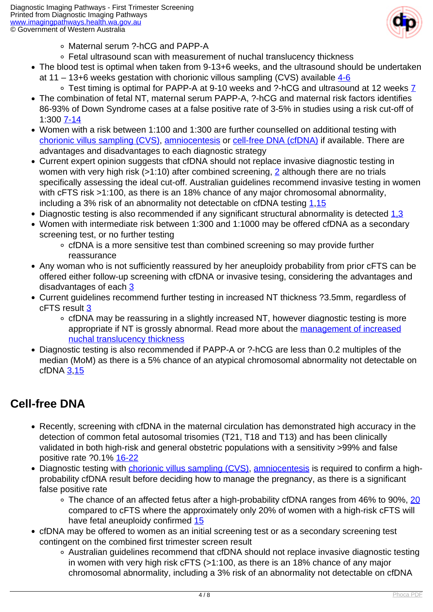

- Maternal serum ?-hCG and PAPP-A
- Fetal ultrasound scan with measurement of nuchal translucency thickness
- The blood test is optimal when taken from 9-13+6 weeks, and the ultrasound should be undertaken at 11 – 13+6 weeks gestation with chorionic villous sampling (CVS) available  $4-6$ 
	- $\circ$  Test timing is optimal for PAPP-A at 9-10 weeks and ?-hCG and ultrasound at 12 weeks  $\overline{7}$
- The combination of fetal NT, maternal serum PAPP-A, ?-hCG and maternal risk factors identifies 86-93% of Down Syndrome cases at a false positive rate of 3-5% in studies using a risk cut-off of 1:300 [7-14](index.php?option=com_content&view=article&id=171&tab=references#7)
- Women with a risk between 1:100 and 1:300 are further counselled on additional testing with [chorionic villus sampling \(CVS\), amniocentesis](index.php/index.php/imaging-pathways/obstetric-gynaecological/first-trimester-screening?tab=cvsamnio) or [cell-free DNA \(cfDNA\)](index.php/index.php/imaging-pathways/obstetric-gynaecological/first-trimester-screening?tab=cfdna) if available. There are advantages and disadvantages to each diagnostic strategy
- Current expert opinion suggests that cfDNA should not replace invasive diagnostic testing in women with very high risk (>1:10) after combined screening, [2](index.php?option=com_content&view=article&id=171&tab=references#2) although there are no trials specifically assessing the ideal cut-off. Australian guidelines recommend invasive testing in women with cFTS risk >1:100, as there is an 18% chance of any major chromosomal abnormality, including a 3% risk of an abnormality not detectable on cfDNA testing [1,](index.php?option=com_content&view=article&id=171&tab=references#1)[15](index.php?option=com_content&view=article&id=171&tab=references#15)
- Diagnostic testing is also recommended if any significant structural abnormality is detected [1,3](index.php?option=com_content&view=article&id=171&tab=references#1)
- Women with intermediate risk between 1:300 and 1:1000 may be offered cfDNA as a secondary screening test, or no further testing
	- cfDNA is a more sensitive test than combined screening so may provide further reassurance
- Any woman who is not sufficiently reassured by her aneuploidy probability from prior cFTS can be offered either follow-up screening with cfDNA or invasive tesing, considering the advantages and disadvantages of each [3](index.php?option=com_content&view=article&id=171&tab=references#3)
- Current guidelines recommend further testing in increased NT thickness ?3.5mm, regardless of cFTS result [3](index.php?option=com_content&view=article&id=171&tab=references#3)
	- cfDNA may be reassuring in a slightly increased NT, however diagnostic testing is more appropriate if NT is grossly abnormal. Read more about the [management of increased](index.php/index.php/imaging-pathways/obstetric-gynaecological/first-trimester-screening?tab=nuchal) [nuchal translucency thickness](index.php/index.php/imaging-pathways/obstetric-gynaecological/first-trimester-screening?tab=nuchal)
- Diagnostic testing is also recommended if PAPP-A or ?-hCG are less than 0.2 multiples of the median (MoM) as there is a 5% chance of an atypical chromosomal abnormality not detectable on cfDNA [3](index.php?option=com_content&view=article&id=171&tab=references#3)[,15](index.php?option=com_content&view=article&id=171&tab=references#15)

### **Cell-free DNA**

- Recently, screening with cfDNA in the maternal circulation has demonstrated high accuracy in the detection of common fetal autosomal trisomies (T21, T18 and T13) and has been clinically validated in both high-risk and general obstetric populations with a sensitivity >99% and false positive rate ?0.1% [16-22](index.php?option=com_content&view=article&id=171&tab=references#16)
- Diagnostic testing with [chorionic villus sampling \(CVS\)](index.php/index.php/imaging-pathways/obstetric-gynaecological/first-trimester-screening?tab=cvsamnio), [amniocentesis](index.php/index.php/imaging-pathways/obstetric-gynaecological/first-trimester-screening?tab=cvsamnio) is required to confirm a highprobability cfDNA result before deciding how to manage the pregnancy, as there is a significant false positive rate
	- ∘ The chance of an affected fetus after a high-probability cfDNA ranges from 46% to 90%, [20](index.php?option=com_content&view=article&id=171&tab=references#20) compared to cFTS where the approximately only 20% of women with a high-risk cFTS will have fetal aneuploidy confirmed [15](index.php?option=com_content&view=article&id=171&tab=references#15)
- cfDNA may be offered to women as an initial screening test or as a secondary screening test contingent on the combined first trimester screen result
	- Australian guidelines recommend that cfDNA should not replace invasive diagnostic testing in women with very high risk cFTS (>1:100, as there is an 18% chance of any major chromosomal abnormality, including a 3% risk of an abnormality not detectable on cfDNA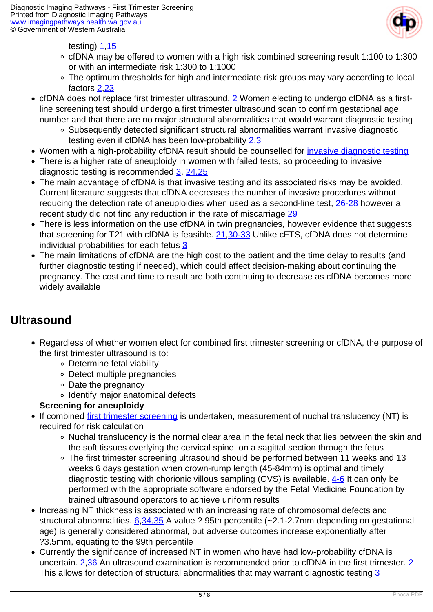

testing) [1,](index.php?option=com_content&view=article&id=171&tab=references#1)[15](index.php?option=com_content&view=article&id=171&tab=references#15)

- cfDNA may be offered to women with a high risk combined screening result 1:100 to 1:300 or with an intermediate risk 1:300 to 1:1000
- The optimum thresholds for high and intermediate risk groups may vary according to local factors [2](index.php?option=com_content&view=article&id=171&tab=references#2),[23](index.php?option=com_content&view=article&id=171&tab=references#23)
- cfDNA does not replace first trimester ultrasound. [2](index.php?option=com_content&view=article&id=171&tab=references#2) Women electing to undergo cfDNA as a firstline screening test should undergo a first trimester ultrasound scan to confirm gestational age, number and that there are no major structural abnormalities that would warrant diagnostic testing
	- Subsequently detected significant structural abnormalities warrant invasive diagnostic testing even if cfDNA has been low-probability [2,3](index.php?option=com_content&view=article&id=171&tab=references#2)
- Women with a high-probability cfDNA result should be counselled for *invasive diagnostic testing*
- There is a higher rate of aneuploidy in women with failed tests, so proceeding to invasive diagnostic testing is recommended [3,](index.php?option=com_content&view=article&id=171&tab=references#3) [24,25](index.php?option=com_content&view=article&id=171&tab=references#24)
- The main advantage of cfDNA is that invasive testing and its associated risks may be avoided. Current literature suggests that cfDNA decreases the number of invasive procedures without reducing the detection rate of aneuploidies when used as a second-line test, [26-28](index.php?option=com_content&view=article&id=171&tab=references#26) however a recent study did not find any reduction in the rate of miscarriage [29](index.php?option=com_content&view=article&id=171&tab=references#29)
- There is less information on the use cfDNA in twin pregnancies, however evidence that suggests that screening for T21 with cfDNA is feasible. [21](index.php?option=com_content&view=article&id=171&tab=references#21),[30-33](index.php?option=com_content&view=article&id=171&tab=references#30) Unlike cFTS, cfDNA does not determine individual probabilities for each fetus [3](index.php?option=com_content&view=article&id=171&tab=references#3)
- The main limitations of cfDNA are the high cost to the patient and the time delay to results (and further diagnostic testing if needed), which could affect decision-making about continuing the pregnancy. The cost and time to result are both continuing to decrease as cfDNA becomes more widely available

### **Ultrasound**

- Regardless of whether women elect for combined first trimester screening or cfDNA, the purpose of the first trimester ultrasound is to:
	- Determine fetal viability
	- Detect multiple pregnancies
	- Date the pregnancy
	- o Identify major anatomical defects

#### **Screening for aneuploidy**

- If combined [first trimester screening](index.php/index.php/imaging-pathways/obstetric-gynaecological/first-trimester-screening?tab=combfts) is undertaken, measurement of nuchal translucency (NT) is required for risk calculation
	- Nuchal translucency is the normal clear area in the fetal neck that lies between the skin and the soft tissues overlying the cervical spine, on a sagittal section through the fetus
	- The first trimester screening ultrasound should be performed between 11 weeks and 13 weeks 6 days gestation when crown-rump length (45-84mm) is optimal and timely diagnostic testing with chorionic villous sampling (CVS) is available.  $4-6$  It can only be performed with the appropriate software endorsed by the Fetal Medicine Foundation by trained ultrasound operators to achieve uniform results
- Increasing NT thickness is associated with an increasing rate of chromosomal defects and structural abnormalities. [6,](index.php?option=com_content&view=article&id=171&tab=references#6)[34,35](index.php?option=com_content&view=article&id=171&tab=references#34) A value ? 95th percentile (~2.1-2.7mm depending on gestational age) is generally considered abnormal, but adverse outcomes increase exponentially after ?3.5mm, equating to the 99th percentile
- Currently the significance of increased NT in women who have had low-probability cfDNA is uncertain. [2](index.php?option=com_content&view=article&id=171&tab=references#2)[,36](index.php?option=com_content&view=article&id=171&tab=references#36) An ultrasound examination is recommended prior to cfDNA in the first trimester. [2](index.php?option=com_content&view=article&id=171&tab=references#2) This allows for detection of structural abnormalities that may warrant diagnostic testing [3](index.php?option=com_content&view=article&id=171&tab=references#3)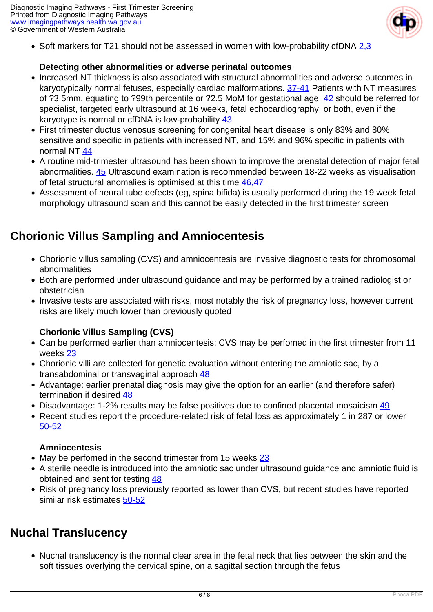

• Soft markers for T21 should not be assessed in women with low-probability cfDNA 2.3

#### **Detecting other abnormalities or adverse perinatal outcomes**

- Increased NT thickness is also associated with structural abnormalities and adverse outcomes in karyotypically normal fetuses, especially cardiac malformations. [37-41](index.php?option=com_content&view=article&id=171&tab=references#37) Patients with NT measures of ?3.5mm, equating to ?99th percentile or ?2.5 MoM for gestational age, [42](index.php?option=com_content&view=article&id=171&tab=references#42) should be referred for specialist, targeted early ultrasound at 16 weeks, fetal echocardiography, or both, even if the karyotype is normal or cfDNA is low-probability [43](index.php?option=com_content&view=article&id=171&tab=references#43)
- First trimester ductus venosus screening for congenital heart disease is only 83% and 80% sensitive and specific in patients with increased NT, and 15% and 96% specific in patients with normal NT [44](index.php?option=com_content&view=article&id=171&tab=references#44)
- A routine mid-trimester ultrasound has been shown to improve the prenatal detection of major fetal abnormalities. [45](index.php?option=com_content&view=article&id=171&tab=references#45) Ultrasound examination is recommended between 18-22 weeks as visualisation of fetal structural anomalies is optimised at this time [46,47](index.php?option=com_content&view=article&id=171&tab=references#46)
- Assessment of neural tube defects (eg, spina bifida) is usually performed during the 19 week fetal morphology ultrasound scan and this cannot be easily detected in the first trimester screen

### **Chorionic Villus Sampling and Amniocentesis**

- Chorionic villus sampling (CVS) and amniocentesis are invasive diagnostic tests for chromosomal abnormalities
- Both are performed under ultrasound guidance and may be performed by a trained radiologist or obstetrician
- Invasive tests are associated with risks, most notably the risk of pregnancy loss, however current risks are likely much lower than previously quoted

#### **Chorionic Villus Sampling (CVS)**

- Can be performed earlier than amniocentesis; CVS may be perfomed in the first trimester from 11 weeks [23](index.php?option=com_content&view=article&id=171&tab=references#23)
- Chorionic villi are collected for genetic evaluation without entering the amniotic sac, by a transabdominal or transvaginal approach [48](index.php?option=com_content&view=article&id=171&tab=references#48)
- Advantage: earlier prenatal diagnosis may give the option for an earlier (and therefore safer) termination if desired [48](index.php?option=com_content&view=article&id=171&tab=references#48)
- Disadvantage: 1-2% results may be false positives due to confined placental mosaicism [49](index.php?option=com_content&view=article&id=171&tab=references#49)
- Recent studies report the procedure-related risk of fetal loss as approximately 1 in 287 or lower [50-52](index.php?option=com_content&view=article&id=171&tab=references#50)

#### **Amniocentesis**

- May be perfomed in the second trimester from 15 weeks [23](index.php?option=com_content&view=article&id=171&tab=references#23)
- A sterile needle is introduced into the amniotic sac under ultrasound guidance and amniotic fluid is obtained and sent for testing [48](index.php?option=com_content&view=article&id=171&tab=references#48)
- Risk of pregnancy loss previously reported as lower than CVS, but recent studies have reported similar risk estimates [50-52](index.php?option=com_content&view=article&id=171&tab=references#50)

### **Nuchal Translucency**

• Nuchal translucency is the normal clear area in the fetal neck that lies between the skin and the soft tissues overlying the cervical spine, on a sagittal section through the fetus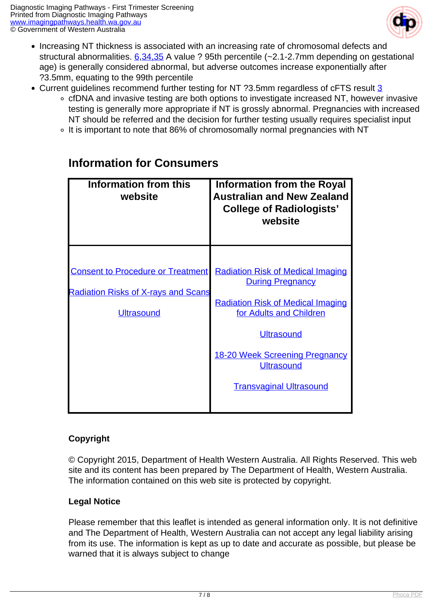

- Increasing NT thickness is associated with an increasing rate of chromosomal defects and structural abnormalities.  $6,34,35$  $6,34,35$  A value ? 95th percentile (~2.1-2.7mm depending on gestational age) is generally considered abnormal, but adverse outcomes increase exponentially after ?3.5mm, equating to the 99th percentile
- Current guidelines recommend further testing for NT ?3.5mm regardless of cFTS result [3](index.php?option=com_content&view=article&id=171&tab=references#3)
	- cfDNA and invasive testing are both options to investigate increased NT, however invasive testing is generally more appropriate if NT is grossly abnormal. Pregnancies with increased NT should be referred and the decision for further testing usually requires specialist input
	- ∘ It is important to note that 86% of chromosomally normal pregnancies with NT

| Information from this<br>website                                                                            | <b>Information from the Royal</b><br><b>Australian and New Zealand</b><br><b>College of Radiologists'</b><br>website                                                                                                                                            |
|-------------------------------------------------------------------------------------------------------------|-----------------------------------------------------------------------------------------------------------------------------------------------------------------------------------------------------------------------------------------------------------------|
| <b>Consent to Procedure or Treatment</b><br><b>Radiation Risks of X-rays and Scans</b><br><b>Ultrasound</b> | <b>Radiation Risk of Medical Imaging</b><br><b>During Pregnancy</b><br><b>Radiation Risk of Medical Imaging</b><br>for Adults and Children<br><b>Ultrasound</b><br><b>18-20 Week Screening Pregnancy</b><br><b>Ultrasound</b><br><b>Transvaginal Ultrasound</b> |

### **Information for Consumers**

#### **Copyright**

© Copyright 2015, Department of Health Western Australia. All Rights Reserved. This web site and its content has been prepared by The Department of Health, Western Australia. The information contained on this web site is protected by copyright.

#### **Legal Notice**

Please remember that this leaflet is intended as general information only. It is not definitive and The Department of Health, Western Australia can not accept any legal liability arising from its use. The information is kept as up to date and accurate as possible, but please be warned that it is always subject to change